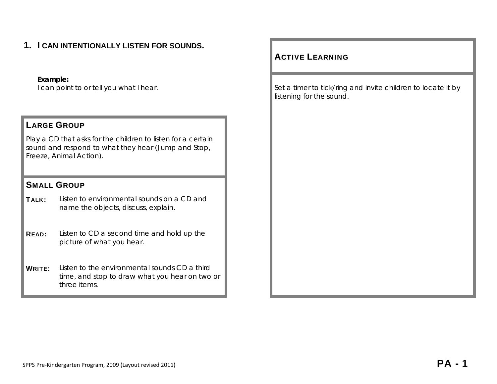# **1. I CAN INTENTIONALLY LISTEN FOR SOUNDS.**

#### **Example:**

#### LARGE GROUP

Play a CD that asks for the children to listen for a certain sound and respond to what they hear (Jump and Stop, Freeze, Animal Action).

#### SMALL GROUP

TALK: Listen to environmental sounds on a CD and name the objects, discuss, explain.

**READ:** Listen to CD a second time and hold up the picture of what you hear.

WRITE: Listen to the environmental sounds CD a third time, and stop to draw what you hear on two or three items.

#### ACTIVE LEARNING

I can point to or tell you what I hear. Set a timer to tick/ring and invite children to locate it by listening for the sound.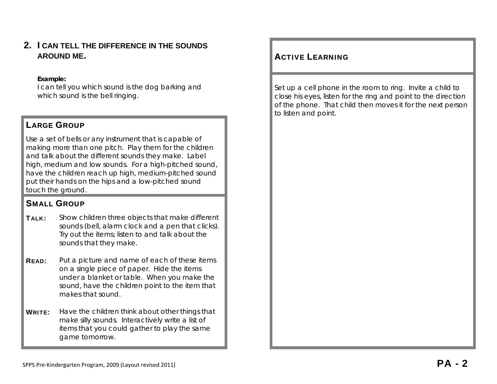**2. I CAN TELL THE DIFFERENCE IN THE SOUNDS AROUND ME.** 

#### **Example:**

I can tell you which sound is the dog barking and which sound is the bell ringing.

## LARGE GROUP

Use a set of bells or any instrument that is capable of making more than one pitch. Play them for the children and talk about the different sounds they make. Label high, medium and low sounds. For a high-pitched sound, have the children reach up high, medium-pitched sound put their hands on the hips and a low-pitched sound touch the ground.

# SMALL GROUP

- TALK: Show children three objects that make different sounds (bell, alarm clock and a pen that clicks). Try out the items; listen to and talk about the sounds that they make.
- **READ:** Put a picture and name of each of these items on a single piece of paper. Hide the items under a blanket or table. When you make the sound, have the children point to the item that makes that sound.
- **WRITE:** Have the children think about other things that make silly sounds. Interactively write a list of items that you could gather to play the same game tomorrow.

# **ACTIVE LEARNING**

Set up a cell phone in the room to ring. Invite a child to close his eyes, listen for the ring and point to the direction of the phone. That child then moves it for the next person to listen and point.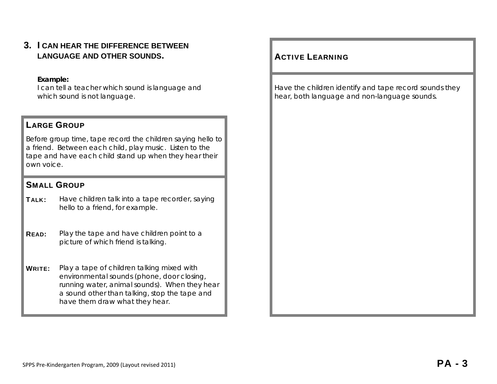**3. I CAN HEAR THE DIFFERENCE BETWEEN LANGUAGE AND OTHER SOUNDS.** 

#### **Example:**

I can tell a teacher which sound is language and which sound is not language.

#### LARGE GROUP

Before group time, tape record the children saying hello to a friend. Between each child, play music. Listen to the tape and have each child stand up when they hear their own voice.

#### SMALL GROUP

TALK: Have children talk into a tape recorder, saying hello to a friend, for example.

**READ:** Play the tape and have children point to a picture of which friend is talking.

**WRITE:** Play a tape of children talking mixed with environmental sounds (phone, door closing, running water, animal sounds). When they hear a sound other than talking, stop the tape and have them draw what they hear.

## **ACTIVE LEARNING**

Have the children identify and tape record sounds they hear, both language and non-language sounds.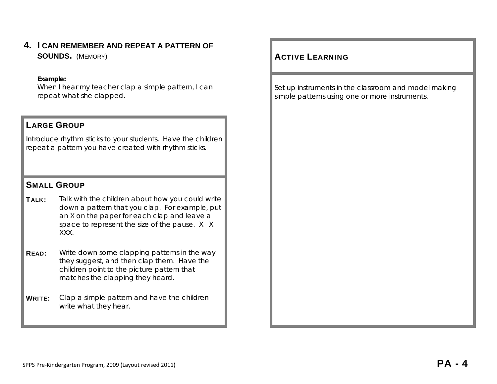**4. I CAN REMEMBER AND REPEAT A PATTERN OF SOUNDS.** (MEMORY) And the state of the state of the state of the state of the state of the state of the state of the state of the state of the state of the state of the state of the state of the state of the state of the

#### **Example:**

When I hear my teacher clap a simple pattern, I can repeat what she clapped.

#### LARGE GROUP

Introduce rhythm sticks to your students. Have the children repeat a pattern you have created with rhythm sticks.

## SMALL GROUP

TALK: Talk with the children about how you could write down a pattern that you clap. For example, put an X on the paper for each clap and leave a space to represent the size of the pause. X X XXX.

- **READ:** Write down some clapping patterns in the way they suggest, and then clap them. Have the children point to the picture pattern that matches the clapping they heard.
- **WRITE:** Clap a simple pattern and have the children write what they hear.

## **ACTIVE LEARNING**

Set up instruments in the classroom and model making simple patterns using one or more instruments.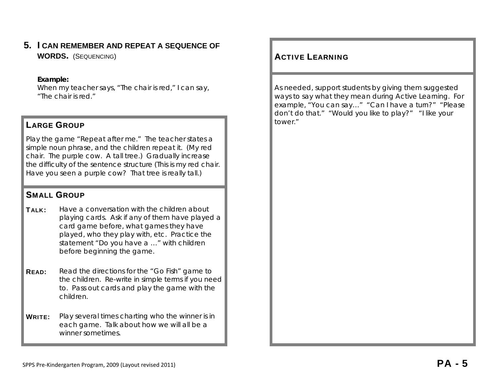# **5. I CAN REMEMBER AND REPEAT A SEQUENCE OF**

**WORDS.** (SEQUENCING) ACTIVE

#### **Example:**

When my teacher says, "The chair is red," I can say, "The chair is red."

## LARGE GROUP **Large Service Contract Contract Contract Contract Contract Contract Contract Contract Contract Contract Contract Contract Contract Contract Contract Contract Contract Contract Contract Contract Contract Contra**

Play the game "Repeat after me." The teacher states a simple noun phrase, and the children repeat it. (*My red chair. The purple cow. A tall tree.*) Gradually increase the difficulty of the sentence structure (*This is my red chair. Have you seen a purple cow? That tree is really tall.*)

# SMALL GROUP

- $\text{Ta}_{\text{I}}$   $\kappa$ : Have a conversation with the children about playing cards. Ask if any of them have played a card game before, what games they have played, who they play with, etc. Practice the statement "Do you have a …" with children before beginning the game.
- **READ:** Read the directions for the "Go Fish" game to the children. Re-write in simple terms if you need to. Pass out cards and play the game with the children.
- **WRITE:** Play several times charting who the winner is in each game. Talk about how we will all be a winner sometimes.

## **ACTIVE LEARNING**

As needed, support students by giving them suggested ways to say what they mean during Active Learning. For example, "You can say…" "Can I have a turn?" "Please don't do that." "Would you like to play?" "I like your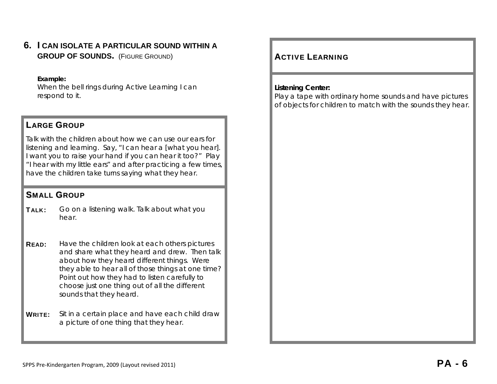**6. I CAN ISOLATE A PARTICULAR SOUND WITHIN A GROUP OF SOUNDS.** (FIGURE GROUND) **ACTIVE** 

#### **Example:**

When the bell rings during Active Learning I can respond to it.

#### LARGE GROUP

Talk with the children about how we can use our ears for listening and learning. Say, "I can hear a [what you hear]. I want you to raise your hand if you can hear it too?" Play "I hear with my little ears" and after practicing a few times, have the children take turns saying what they hear.

#### SMALL GROUP

- TALK: Go on a listening walk. Talk about what you hear.
- **READ:** Have the children look at each others pictures and share what they heard and drew. Then talk about how they heard different things. Were they able to hear all of those things at one time? Point out how they had to listen carefully to choose just one thing out of all the different sounds that they heard.
- **WRITE:** Sit in a certain place and have each child draw a picture of one thing that they hear.

# **ACTIVE LEARNING**

#### **Listening Center:**

Play a tape with ordinary home sounds and have pictures of objects for children to match with the sounds they hear.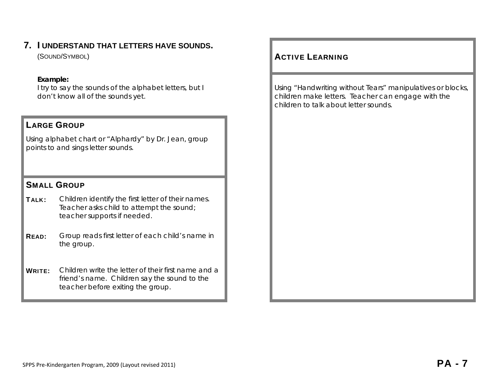# **7. I UNDERSTAND THAT LETTERS HAVE SOUNDS.**

(SOUND/SYMBOL)

#### **Example:**

I try to say the sounds of the alphabet letters, but I don't know all of the sounds yet.

#### LARGE GROUP

Using alphabet chart or "Alphardy" by Dr. Jean, group points to and sings letter sounds.

## SMALL GROUP

TALK: Children identify the first letter of their names. Teacher asks child to attempt the sound; teacher supports if needed.

READ: Group reads first letter of each child's name in the group.

WRITE: Children write the letter of their first name and a friend's name. Children say the sound to the teacher before exiting the group.

## **ACTIVE LEARNING**

Using "Handwriting without Tears" manipulatives or blocks, children make letters. Teacher can engage with the children to talk about letter sounds.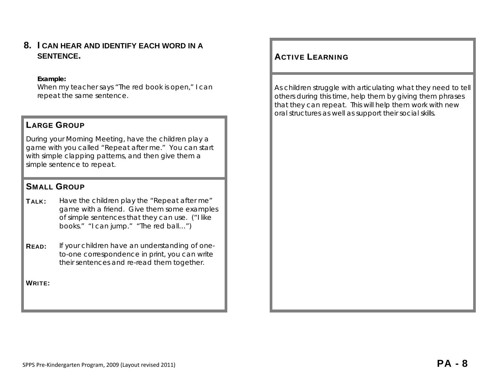#### **8. I CAN HEAR AND IDENTIFY EACH WORD IN A SENTENCE.**

#### **Example:**

When my teacher says "The red book is open," I can repeat the same sentence.

#### LARGE GROUP

During your Morning Meeting, have the children play a game with you called "Repeat after me." You can start with simple clapping patterns, and then give them a simple sentence to repeat.

#### SMALL GROUP

- **TALK:** Have the children play the "Repeat after me" game with a friend. Give them some examples of simple sentences that they can use. ("I like books." "I can jump." "The red ball…")
- **READ:** If your children have an understanding of oneto-one correspondence in print, you can write their sentences and re-read them together.

WRITE:

## **ACTIVE LEARNING**

As children struggle with articulating what they need to tell others during this time, help them by giving them phrases that they can repeat. This will help them work with new oral structures as well as support their social skills.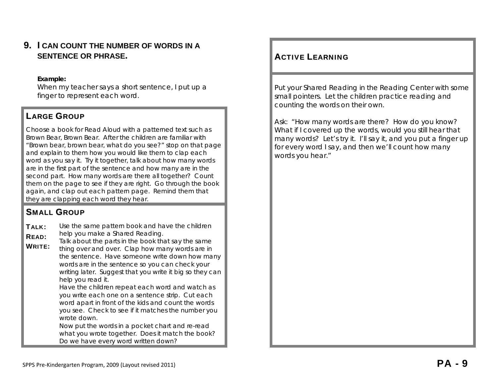## **9. I CAN COUNT THE NUMBER OF WORDS IN A SENTENCE OR PHRASE.**

#### **Example:**

When my teacher says a short sentence, I put up a finger to represent each word.

# LARGE GROUP

Choose a book for Read Aloud with a patterned text such as Brown Bear, Brown Bear. After the children are familiar with "Brown bear, brown bear, what do you see?" stop on that page and explain to them how you would like them to clap each word as you say it. Try it together, talk about how many words are in the first part of the sentence and how many are in the second part. How many words are there all together? Count them on the page to see if they are right. Go through the book again, and clap out each pattern page. Remind them that they are clapping each word they hear.

# SMALL GROUP

TALK: READ: WRITE: Use the same pattern book and have the children help you make a Shared Reading. Talk about the parts in the book that say the same thing over and over. Clap how many words are in the sentence. Have someone write down how many words are in the sentence so you can check your writing later. Suggest that you write it big so they can help you read it. Have the children repeat each word and watch as you write each one on a sentence strip. Cut each word apart in front of the kids and count the words you see. Check to see if it matches the number you wrote down. Now put the words in a pocket chart and re-read

what you wrote together. Does it match the book? Do we have every word written down?

## **ACTIVE LEARNING**

Put your Shared Reading in the Reading Center with some small pointers. Let the children practice reading and counting the words on their own.

Ask: "How many words are there? How do you know? What if I covered up the words, would you still hear that many words? Let's try it. I'll say it, and you put a finger up for every word I say, and then we'll count how many words you hear."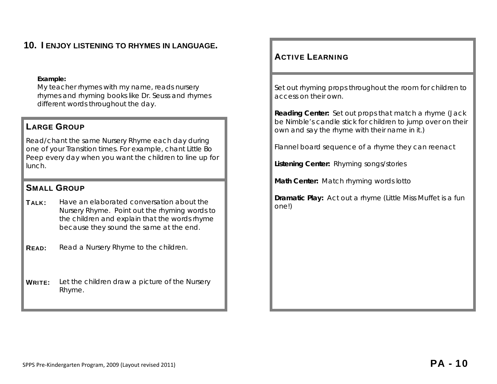# **10. I ENJOY LISTENING TO RHYMES IN LANGUAGE.**

#### **Example:**

My teacher rhymes with my name, reads nursery rhymes and rhyming books like Dr. Seuss and rhymes different words throughout the day.

## LARGE GROUP

Read/chant the same Nursery Rhyme each day during one of your Transition times. For example, chant *Little Bo Peep* every day when you want the children to line up for lunch.

#### SMALL GROUP

- TALK: Have an elaborated conversation about the Nursery Rhyme. Point out the rhyming words to the children and explain that the words rhyme because they sound the same at the end.
- **READ:** Read a Nursery Rhyme to the children.
- **WRITE:** Let the children draw a picture of the Nursery Rhyme.

#### ACTIVE LEARNING

Set out rhyming props throughout the room for children to access on their own.

**Reading Center:** Set out props that match a rhyme (Jack be Nimble's candle stick for children to jump over on their own and say the rhyme with their name in it.)

Flannel board sequence of a rhyme they can reenact

**Listening Center:** Rhyming songs/stories

**Math Center:** Match rhyming words lotto

**Dramatic Play:** Act out a rhyme (Little Miss Muffet is a fun one!)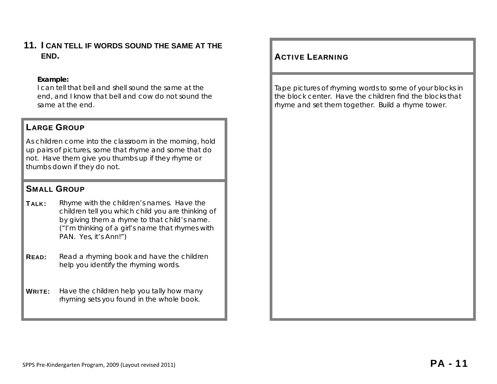## **11. I CAN TELL IF WORDS SOUND THE SAME AT THE END.** ACTIVE

#### **Example:**

I can tell that bell and shell sound the same at the end, and I know that bell and cow do not sound the same at the end.

## LARGE GROUP

As children come into the classroom in the morning, hold up pairs of pictures, some that rhyme and some that do not. Have them give you thumbs up if they rhyme or thumbs down if they do not.

#### SMALL GROUP

- **TALK:** Rhyme with the children's names. Have the children tell you which child you are thinking of by giving them a rhyme to that child's name. ("I'm thinking of a girl's name that rhymes with PAN. Yes, it's Ann!")
- **READ:** Read a rhyming book and have the children help you identify the rhyming words.
- **WRITE:** Have the children help you tally how many rhyming sets you found in the whole book.

# **ACTIVE LEARNING**

Tape pictures of rhyming words to some of your blocks in the block center. Have the children find the blocks that rhyme and set them together. Build a rhyme tower.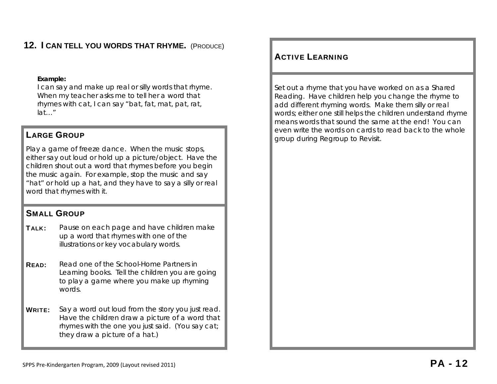# **12. I CAN TELL YOU WORDS THAT RHYME.** (PRODUCE)

#### **Example:**

I can say and make up real or silly words that rhyme. When my teacher asks me to tell her a word that rhymes with cat, I can say "bat, fat, mat, pat, rat, lat…"

Play a game of freeze dance. When the music stops, either say out loud or hold up a picture/object. Have the children shout out a word that rhymes before you begin the music again. For example, stop the music and say "hat" or hold up a hat, and they have to say a silly or real word that rhymes with it.

#### SMALL GROUP

- TALK: Pause on each page and have children make up a word that rhymes with one of the illustrations or key vocabulary words.
- READ: Read one of the *School-Home Partners in Learning* books. Tell the children you are going to play a game where you make up rhyming words.
- **WRITE:** Say a word out loud from the story you just read. Have the children draw a picture of a word that rhymes with the one you just said. (You say cat; they draw a picture of a hat.)

#### ACTIVE LEARNING

Set out a rhyme that you have worked on as a Shared Reading. Have children help you change the rhyme to add different rhyming words. Make them silly or real words; either one still helps the children understand rhyme means words that sound the same at the end! You can **LARGE GROUP EXECUTE:** The words on cards to read back to the whole **LARGE GROUP** group during Regroup to Revisit.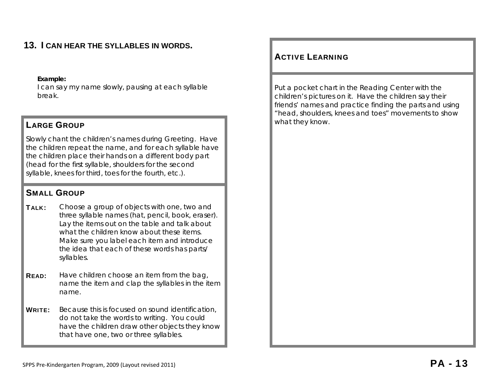# **13. I CAN HEAR THE SYLLABLES IN WORDS.**

#### **Example:**

I can say my name slowly, pausing at each syllable break.

# LARGE GROUP **LARGE GROUP**

Slowly chant the children's names during Greeting. Have the children repeat the name, and for each syllable have the children place their hands on a different body part (head for the first syllable, shoulders for the second syllable, knees for third, toes for the fourth, etc.).

#### SMALL GROUP

**TALK:** Choose a group of objects with one, two and three syllable names (hat, pencil, book, eraser). Lay the items out on the table and talk about what the children know about these items. Make sure you label each item and introduce the idea that each of these words has parts/ syllables.

- **READ:** Have children choose an item from the bag, name the item and clap the syllables in the item name.
- WRITE: Because this is focused on sound identification, do not take the words to writing. You could have the children draw other objects they know that have one, two or three syllables.

#### ACTIVE LEARNING

Put a pocket chart in the Reading Center with the children's pictures on it. Have the children say their friends' names and practice finding the parts and using "head, shoulders, knees and toes" movements to show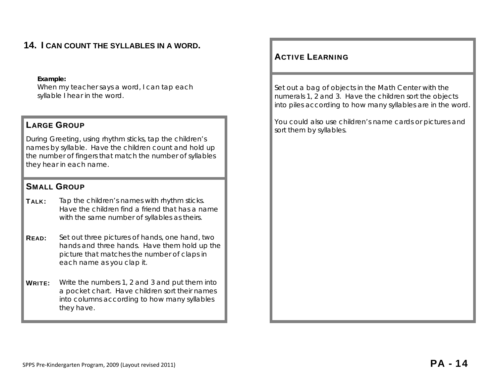# **14. I CAN COUNT THE SYLLABLES IN A WORD.**

#### **Example:**

When my teacher says a word, I can tap each syllable I hear in the word.

During Greeting, using rhythm sticks, tap the children's names by syllable. Have the children count and hold up the number of fingers that match the number of syllables they hear in each name.

#### SMALL GROUP

- **TALK:** Tap the children's names with rhythm sticks. Have the children find a friend that has a name with the same number of syllables as theirs.
- **READ:** Set out three pictures of hands, one hand, two hands and three hands. Have them hold up the picture that matches the number of claps in each name as you clap it.
- **WRITE:** Write the numbers 1, 2 and 3 and put them into a pocket chart. Have children sort their names into columns according to how many syllables they have.

#### ACTIVE LEARNING

Set out a bag of objects in the Math Center with the numerals 1, 2 and 3. Have the children sort the objects into piles according to how many syllables are in the word.

You could also use children's name cards or pictures and **LARGE GROUP Example 2** and the matrix of them by syllables.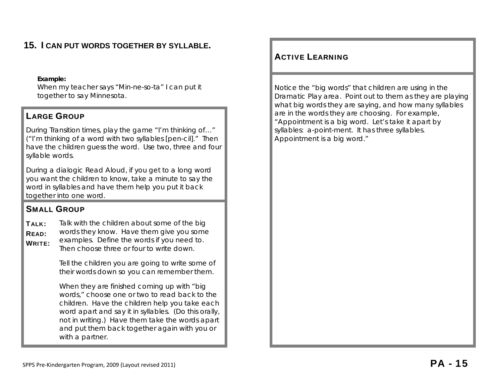# **15. I CAN PUT WORDS TOGETHER BY SYLLABLE.**

#### **Example:**

When my teacher says "Min-ne-so-ta" I can put it together to say Minnesota.

## LARGE GROUP

During Transition times, play the game "I'm thinking of…" ("I'm thinking of a word with two syllables [pen-cil]." Then have the children guess the word. Use two, three and four syllable words.

During a dialogic Read Aloud, if you get to a long word you want the children to know, take a minute to say the word in syllables and have them help you put it back together into one word.

# SMALL GROUP

 $T$ AI K: READ: WRITE: Talk with the children about some of the big words they know. Have them give you some examples. Define the words if you need to. Then choose three or four to write down.

> Tell the children you are going to write some of their words down so you can remember them.

When they are finished coming up with "big" words," choose one or two to read back to the children. Have the children help you take each word apart and say it in syllables. (Do this orally, not in writing.) Have them take the words apart and put them back together again with you or with a partner.

## ACTIVE LEARNING

Notice the "big words" that children are using in the Dramatic Play area. Point out to them as they are playing what big words they are saying, and how many syllables are in the words they are choosing. For example, "Appointment is a big word. Let's take it apart by syllables: a-point-ment. It has three syllables. Appointment is a big word."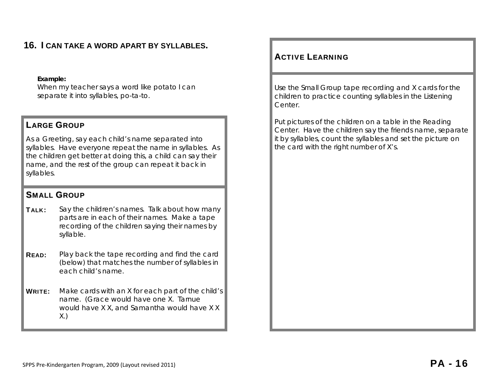# **16. I CAN TAKE A WORD APART BY SYLLABLES.**

#### **Example:**

When my teacher says a word like potato I can separate it into syllables, po-ta-to.

#### LARGE GROUP

As a Greeting, say each child's name separated into syllables. Have everyone repeat the name in syllables. As the children get better at doing this, a child can say their name, and the rest of the group can repeat it back in syllables.

#### SMALL GROUP

- TALK: Say the children's names. Talk about how many parts are in each of their names. Make a tape recording of the children saying their names by syllable.
- **READ:** Play back the tape recording and find the card (below) that matches the number of syllables in each child's name.
- **WRITE:** Make cards with an X for each part of the child's name. (Grace would have one X. Tarnue would have X X, and Samantha would have X X X.)

#### ACTIVE LEARNING

Use the Small Group tape recording and X cards for the children to practice counting syllables in the Listening Center.

Put pictures of the children on a table in the Reading Center. Have the children say the friends name, separate it by syllables, count the syllables and set the picture on the card with the right number of X's.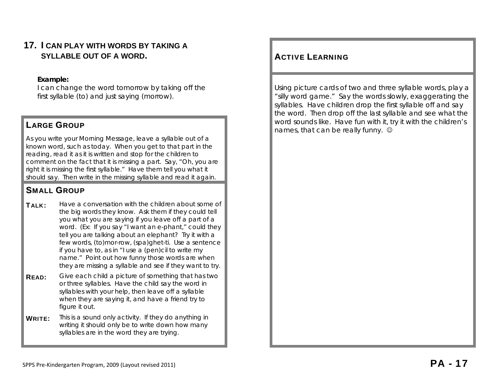## **17. I CAN PLAY WITH WORDS BY TAKING A SYLLABLE OUT OF A WORD.**

#### **Example:**

I can change the word tomorrow by taking off the first syllable (to) and just saying (morrow).

As you write your Morning Message, leave a syllable out of a known word, such as today. When you get to that part in the reading, read it as it is written and stop for the children to comment on the fact that it is missing a part. Say, "Oh, you are right it is missing the first syllable." Have them tell you what it should say. Then write in the missing syllable and read it again.

# SMALL GROUP

TALK: Have a conversation with the children about some of the big words they know. Ask them if they could tell you what you are saying if you leave off a part of a word. (Ex: If you say "I want an e-phant," could they tell you are talking about an elephant? Try it with a few words, (to)mor-row, (spa)ghet-ti. Use a sentence if you have to, as in "I use a (pen)cil to write my name." Point out how funny those words are when they are missing a syllable and see if they want to try.

- **READ:** Give each child a picture of something that has two or three syllables. Have the child say the word in syllables with your help, then leave off a syllable when they are saying it, and have a friend try to figure it out.
- WRITE: This is a sound only activity. If they do anything in writing it should only be to write down how many syllables are in the word they are trying.

## **ACTIVE LEARNING**

Using picture cards of two and three syllable words, play a "silly word game." Say the words slowly, exaggerating the syllables. Have children drop the first syllable off and say the word. Then drop off the last syllable and see what the word sounds like. Have fun with it, try it with the children's **LARGE GROUP CALCE FIND THE CANCE CROUP CALCE AND THE CANCE CAN BE REALLY FIND TO A LARGE GROUP CALCE AND THE CAN BE REALLY FUNDS CALCE AND THE CAN BE REALLY FUNDS CAN BE REALLY FUNDS CALCE AND A LARGE GROUP**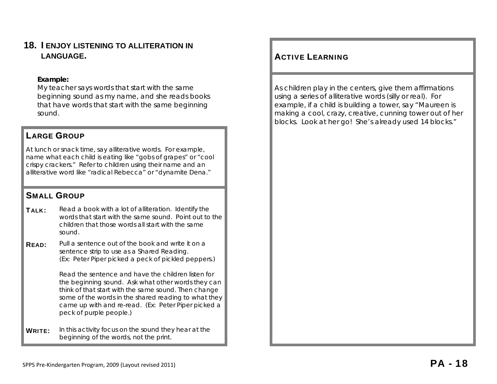#### **18. I ENJOY LISTENING TO ALLITERATION IN LANGUAGE.**

#### **Example:**

My teacher says words that start with the same beginning sound as my name, and she reads books that have words that start with the same beginning sound.

#### LARGE GROUP

At lunch or snack time, say alliterative words. For example, name what each child is eating like "gobs of grapes" or "cool crispy crackers." Refer to children using their name and an alliterative word like "radical Rebecca" or "dynamite Dena."

## SMALL GROUP

TALK: Read a book with a lot of alliteration. Identify the words that start with the same sound. Point out to the children that those words all start with the same sound.

**READ:** Pull a sentence out of the book and write it on a sentence strip to use as a Shared Reading. (Ex: Peter Piper picked a peck of pickled peppers.)

> Read the sentence and have the children listen for the beginning sound. Ask what other words they can think of that start with the same sound. Then change some of the words in the shared reading to what they came up with and re-read. (Ex: Peter Piper picked a peck of purple people.)

**WRITE:** In this activity focus on the sound they hear at the beginning of the words, not the print.

## **ACTIVE LEARNING**

As children play in the centers, give them affirmations using a series of alliterative words (silly or real). For example, if a child is building a tower, say "Maureen is making a cool, crazy, creative, cunning tower out of her blocks. Look at her go! She's already used 14 blocks."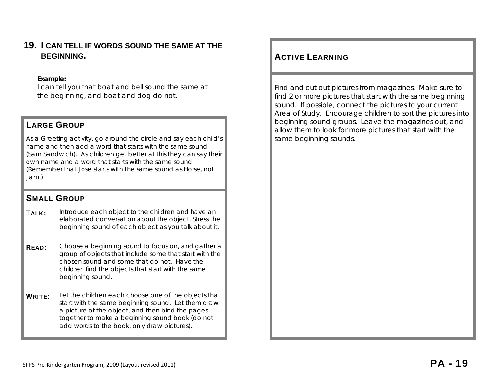#### **19. I CAN TELL IF WORDS SOUND THE SAME AT THE BEGINNING.**

#### **Example:**

I can tell you that boat and bell sound the same at the beginning, and boat and dog do not.

## LARGE GROUP

As a Greeting activity, go around the circle and say each child's name and then add a word that starts with the same sound (Sam Sandwich). As children get better at this they can say their own name and a word that starts with the same sound. (Remember that Jose starts with the same sound as Horse, not Jam.)

# SMALL GROUP

TALK: Introduce each object to the children and have an elaborated conversation about the object. Stress the beginning sound of each object as you talk about it.

**READ:** Choose a beginning sound to focus on, and gather a group of objects that include some that start with the chosen sound and some that do not. Have the children find the objects that start with the same beginning sound.

WRITE: Let the children each choose one of the objects that start with the same beginning sound. Let them draw a picture of the object, and then bind the pages together to make a beginning sound book (do not add words to the book, only draw pictures).

## **ACTIVE LEARNING**

Find and cut out pictures from magazines. Make sure to find 2 or more pictures that start with the same beginning sound. If possible, connect the pictures to your current Area of Study. Encourage children to sort the pictures into beginning sound groups. Leave the magazines out, and allow them to look for more pictures that start with the same beginning sounds.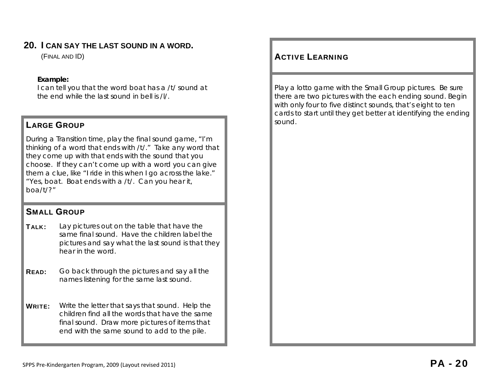## **20. I CAN SAY THE LAST SOUND IN A WORD.**

(FINAL AND ID)

#### **Example:**

I can tell you that the word boat has a /t/ sound at the end while the last sound in bell is /l/.

# **LARGE GROUP Sound. LARGE GROUP**

During a Transition time, play the final sound game, "I'm thinking of a word that ends with /t/." Take any word that they come up with that ends with the sound that you choose. If they can't come up with a word you can give them a clue, like "I ride in this when I go across the lake." "Yes, boat. Boat ends with a /t/. Can you hear it, boa/t/?"

## SMALL GROUP

- **TALK:** Lay pictures out on the table that have the same final sound. Have the children label the pictures and say what the last sound is that they hear in the word.
- **READ:** Go back through the pictures and say all the names listening for the same last sound.
- WRITE: Write the letter that says that sound. Help the children find all the words that have the same final sound. Draw more pictures of items that end with the same sound to add to the pile.

## **ACTIVE LEARNING**

Play a lotto game with the Small Group pictures. Be sure there are two pictures with the each ending sound. Begin with only four to five distinct sounds, that's eight to ten cards to start until they get better at identifying the ending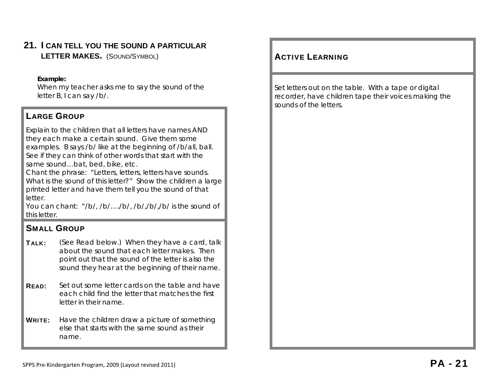# **21. I CAN TELL YOU THE SOUND A PARTICULAR**

**LETTER MAKES.** (SOUND/SYMBOL) ACTIVE

#### **Example:**

When my teacher asks me to say the sound of the letter B, I can say /b/.

# LARGE GROUP

Explain to the children that all letters have names AND they each make a certain sound. Give them some examples. B says /b/ like at the beginning of /b/all, ball. See if they can think of other words that start with the same sound…bat, bed, bike, etc.

Chant the phrase: "Letters, letters, letters have sounds. What is the sound of this letter?" Show the children a large printed letter and have them tell you the sound of that letter.

You can chant: "/b/, /b/…./b/, /b/,/b/,/b/ is the sound of this letter.

# SMALL GROUP

- **TALK:** (See Read below.) When they have a card, talk about the sound that each letter makes. Then point out that the sound of the letter is also the sound they hear at the beginning of their name.
- **READ:** Set out some letter cards on the table and have each child find the letter that matches the first letter in their name.
- **WRITE:** Have the children draw a picture of something else that starts with the same sound as their name.

# **ACTIVE LEARNING**

Set letters out on the table. With a tape or digital recorder, have children tape their voices making the sounds of the letters.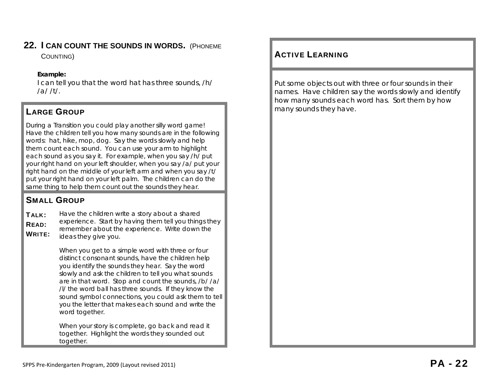# **22. I CAN COUNT THE SOUNDS IN WORDS.** (PHONEME

#### **Example:**

I can tell you that the word hat has three sounds, /h/ /a/ /t/.

# **LARGE GROUP**

During a Transition you could play another silly word game! Have the children tell you how many sounds are in the following words: hat, hike, mop, dog. Say the words slowly and help them count each sound. You can use your arm to highlight each sound as you say it. For example, when you say /h/ put your right hand on your left shoulder, when you say /a/ put your right hand on the middle of your left arm and when you say /t/ put your right hand on your left palm. The children can do the same thing to help them count out the sounds they hear.

# SMALL GROUP

TALK: READ: WRITE: Have the children write a story about a shared experience. Start by having them tell you things they remember about the experience. Write down the ideas they give you.

> When you get to a simple word with three or four distinct consonant sounds, have the children help you identify the sounds they hear. Say the word slowly and ask the children to tell you what sounds are in that word. Stop and count the sounds, /b/ /a/ /l/ the word ball has three sounds. If they know the sound symbol connections, you could ask them to tell you the letter that makes each sound and write the word together.

When your story is complete, go back and read it together. Highlight the words they sounded out together.

# COUNTING) **ACTIVE LEARNING**

Put some objects out with three or four sounds in their names. Have children say the words slowly and identify how many sounds each word has. Sort them by how many sounds they have.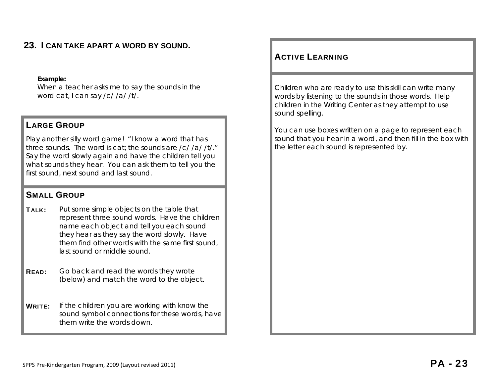# **23. I CAN TAKE APART A WORD BY SOUND.**

#### **Example:**

When a teacher asks me to say the sounds in the word cat, I can say /c/ /a/ /t/.

#### LARGE GROUP

Play another silly word game! "I know a word that has three sounds. The word is cat; the sounds are /c/ /a/ /t/." Say the word slowly again and have the children tell you what sounds they hear. You can ask them to tell you the first sound, next sound and last sound.

## SMALL GROUP

- **TALK:** Put some simple objects on the table that represent three sound words. Have the children name each object and tell you each sound they hear as they say the word slowly. Have them find other words with the same first sound, last sound or middle sound.
- **READ:** Go back and read the words they wrote (below) and match the word to the object.

WRITE: If the children you are working with know the sound symbol connections for these words, have them write the words down.

## ACTIVE LEARNING

Children who are ready to use this skill can write many words by listening to the sounds in those words. Help children in the Writing Center as they attempt to use sound spelling.

You can use boxes written on a page to represent each sound that you hear in a word, and then fill in the box with the letter each sound is represented by.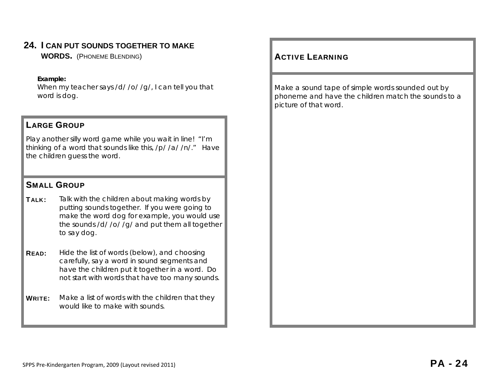# **24. I CAN PUT SOUNDS TOGETHER TO MAKE**

**WORDS.** (PHONEME BLENDING) ACTIVE

#### **Example:**

When my teacher says /d/ /o/ /g/, I can tell you that word is dog.

#### LARGE GROUP

Play another silly word game while you wait in line! "I'm thinking of a word that sounds like this, /p/ /a/ /n/." Have the children guess the word.

## SMALL GROUP

- TALK: Talk with the children about making words by putting sounds together. If you were going to make the word dog for example, you would use the sounds /d/ /o/ /g/ and put them all together to say dog.
- **READ:** Hide the list of words (below), and choosing carefully, say a word in sound segments and have the children put it together in a word. Do not start with words that have too many sounds.
- **WRITE:** Make a list of words with the children that they would like to make with sounds.

## **ACTIVE LEARNING**

Make a sound tape of simple words sounded out by phoneme and have the children match the sounds to a picture of that word.